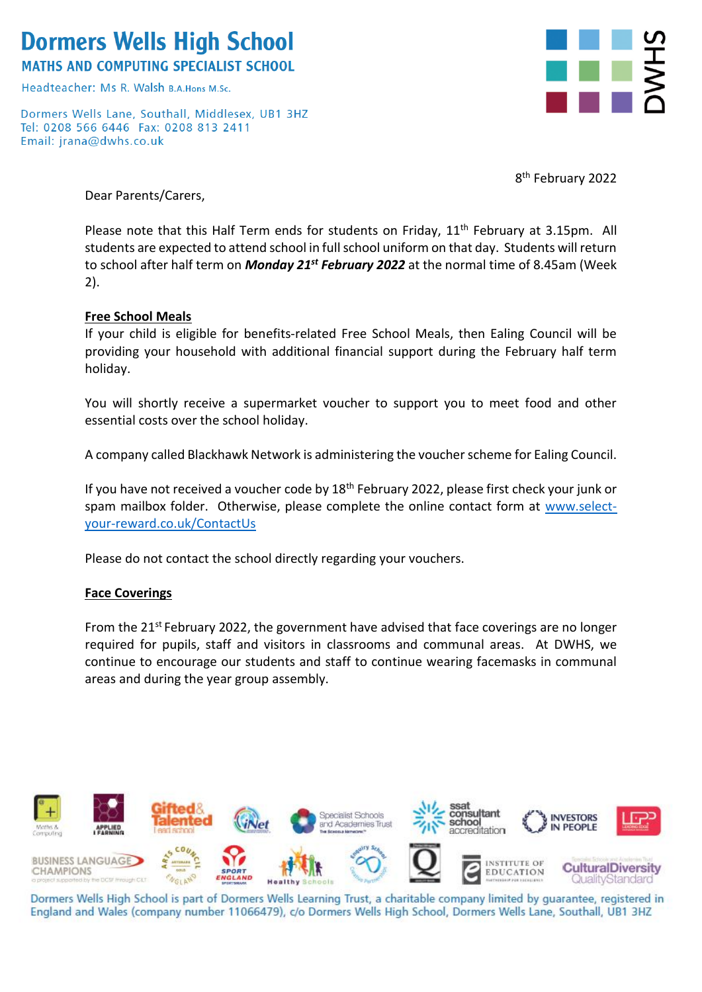# **Dormers Wells High School**

**MATHS AND COMPUTING SPECIALIST SCHOOL** 

Headteacher: Ms R, Walsh B A Hons M Sc

Dormers Wells Lane, Southall, Middlesex, UB1 3HZ Tel: 0208 566 6446 Fax: 0208 813 2411 Email: jrana@dwhs.co.uk



8<sup>th</sup> February 2022

Dear Parents/Carers,

Please note that this Half Term ends for students on Friday, 11<sup>th</sup> February at 3.15pm. All students are expected to attend school in full school uniform on that day. Students will return to school after half term on *Monday 21st February 2022* at the normal time of 8.45am (Week 2).

### **Free School Meals**

If your child is eligible for benefits-related Free School Meals, then Ealing Council will be providing your household with additional financial support during the February half term holiday.

You will shortly receive a supermarket voucher to support you to meet food and other essential costs over the school holiday.

A company called Blackhawk Network is administering the voucher scheme for Ealing Council.

If you have not received a voucher code by  $18<sup>th</sup>$  February 2022, please first check your junk or spam mailbox folder. Otherwise, please complete the online contact form at [www.select](https://protect-eu.mimecast.com/s/dSCiCj275UGW64WUnjE-Y?domain=nam04.safelinks.protection.outlook.com)[your-reward.co.uk/ContactUs](https://protect-eu.mimecast.com/s/dSCiCj275UGW64WUnjE-Y?domain=nam04.safelinks.protection.outlook.com)

Please do not contact the school directly regarding your vouchers.

### **Face Coverings**

From the 21<sup>st</sup> February 2022, the government have advised that face coverings are no longer required for pupils, staff and visitors in classrooms and communal areas. At DWHS, we continue to encourage our students and staff to continue wearing facemasks in communal areas and during the year group assembly.



Dormers Wells High School is part of Dormers Wells Learning Trust, a charitable company limited by guarantee, registered in England and Wales (company number 11066479), c/o Dormers Wells High School, Dormers Wells Lane, Southall, UB1 3HZ